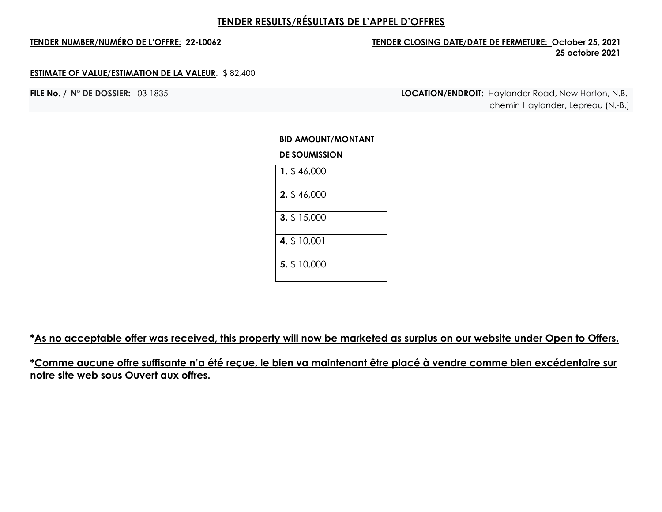## **TENDER NUMBER/NUMÉRO DE L'OFFRE: 22-L0062 TENDER CLOSING DATE/DATE DE FERMETURE: October 25, 2021 25 octobre 2021**

### **ESTIMATE OF VALUE/ESTIMATION DE LA VALEUR**: \$ 82,400

**FILE No. / N° DE DOSSIER:** 03-1835 **LOCATION/ENDROIT:** Haylander Road, New Horton, N.B. chemin Haylander, Lepreau (N.-B.)

| <b>BID AMOUNT/MONTANT</b> |
|---------------------------|
| <b>DE SOUMISSION</b>      |
| $1.$ \$46,000             |
| 2. \$46,000               |
| 3. \$15,000               |
| 4. \$ 10,001              |
| 5. \$10,000               |

**\*As no acceptable offer was received, this property will now be marketed as surplus on our website under Open to Offers.**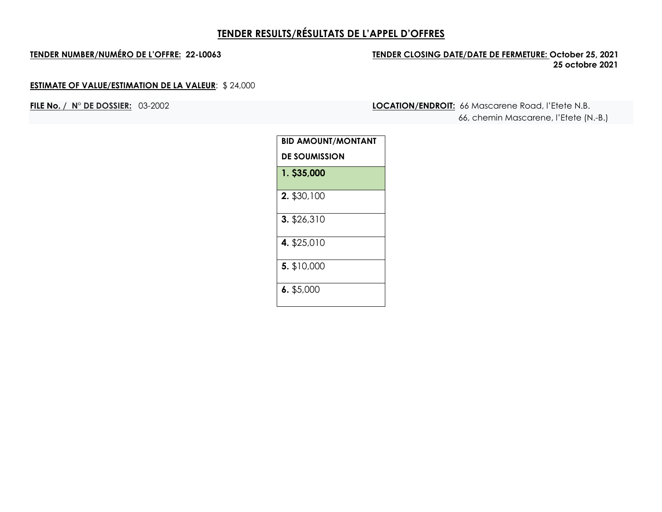## **TENDER NUMBER/NUMÉRO DE L'OFFRE: 22-L0063 TENDER CLOSING DATE/DATE DE FERMETURE: October 25, 2021 25 octobre 2021**

## **ESTIMATE OF VALUE/ESTIMATION DE LA VALEUR**: \$ 24,000

**FILE No. / N° DE DOSSIER:** 03-2002 **LOCATION/ENDROIT:** 66 Mascarene Road, l'Etete N.B. 66, chemin Mascarene, l'Etete (N.-B.)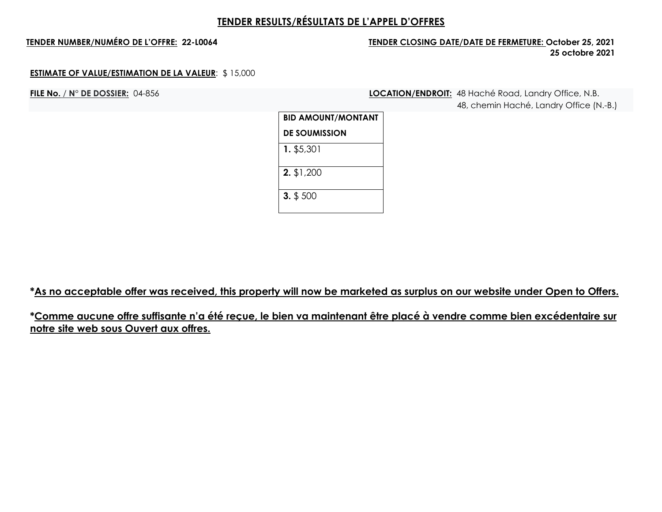## **TENDER NUMBER/NUMÉRO DE L'OFFRE: 22-L0064 TENDER CLOSING DATE/DATE DE FERMETURE: October 25, 2021 25 octobre 2021**

### **ESTIMATE OF VALUE/ESTIMATION DE LA VALEUR**: \$ 15,000

**FILE No.** / **N° DE DOSSIER:** 04-856 **LOCATION/ENDROIT:** 48 Haché Road, Landry Office, N.B. 48, chemin Haché, Landry Office (N.-B.)

| <b>BID AMOUNT/MONTANT</b> |  |
|---------------------------|--|
| <b>DE SOUMISSION</b>      |  |
| 1. \$5,301                |  |
| $2.$ \$1,200              |  |
| $3.$ \$ 500               |  |

**\*As no acceptable offer was received, this property will now be marketed as surplus on our website under Open to Offers.**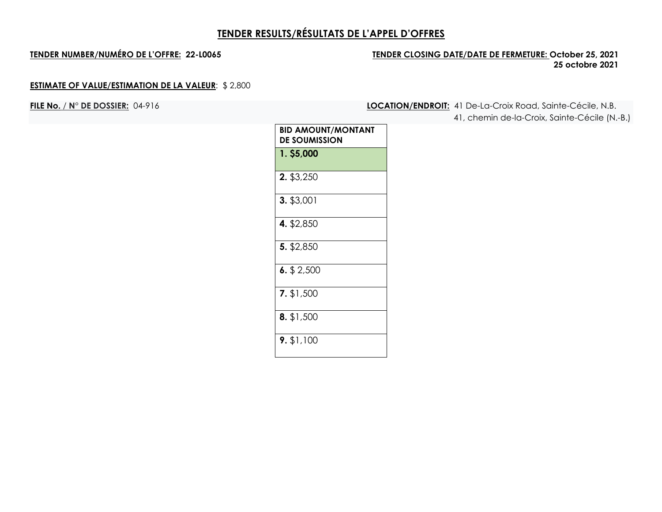## **TENDER NUMBER/NUMÉRO DE L'OFFRE: 22-L0065 TENDER CLOSING DATE/DATE DE FERMETURE: October 25, 2021 25 octobre 2021**

## **ESTIMATE OF VALUE/ESTIMATION DE LA VALEUR**: \$ 2,800

**FILE No.** / **N° DE DOSSIER:** 04-916 **LOCATION/ENDROIT:** 41 De-La-Croix Road, Sainte-Cécile, N.B. 41, chemin de-la-Croix, Sainte-Cécile (N.-B.)

| BID AMOUNT/MONTANT<br>DE SOUMISSION |
|-------------------------------------|
| 1. \$5,000                          |
| 2. \$3,250                          |
| 3. \$3,001                          |
| 4. \$2,850                          |
| 5. \$2,850                          |
| $6.$ \$ 2,500                       |
| 7. \$1,500                          |
| 8. \$1,500                          |
| $9.$ \$1,100                        |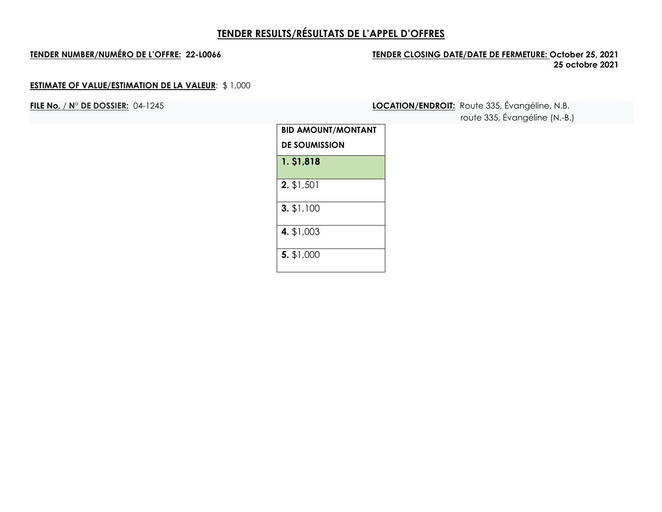## **TENDER NUMBER/NUMÉRO DE L'OFFRE: 22-L0066 TENDER CLOSING DATE/DATE DE FERMETURE: October 25, 2021 25 octobre 2021**

## **ESTIMATE OF VALUE/ESTIMATION DE LA VALEUR**: \$ 1,000

**FILE No.** / **N° DE DOSSIER:** 04-1245 **LOCATION/ENDROIT:** Route 335, Évangéline, N.B. route 335, Évangéline (N.-B.)

| TOUTE 333, EVAILIGE IN.- |  |
|--------------------------|--|
|                          |  |

| <b>BID AMOUNT/MONTANT</b> |  |  |
|---------------------------|--|--|
| <b>DE SOUMISSION</b>      |  |  |
| 1. \$1,818                |  |  |
| $2.$ \$1,501              |  |  |
| 3. \$1,100                |  |  |
| 4. \$1,003                |  |  |
| 5. \$1,000                |  |  |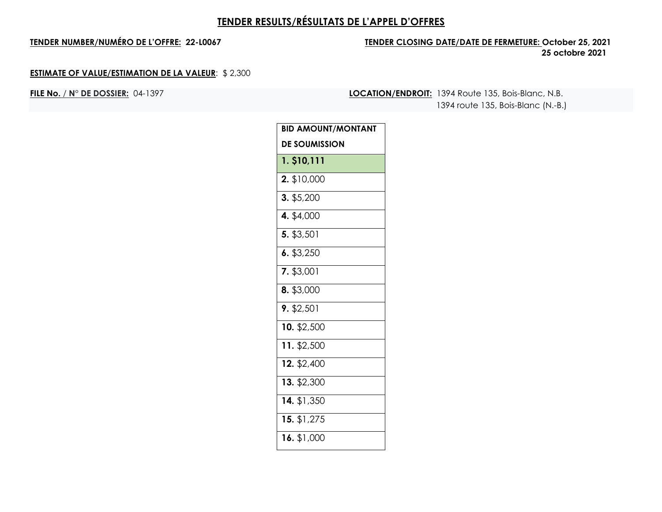## **TENDER NUMBER/NUMÉRO DE L'OFFRE: 22-L0067 TENDER CLOSING DATE/DATE DE FERMETURE: October 25, 2021 25 octobre 2021**

### **ESTIMATE OF VALUE/ESTIMATION DE LA VALEUR**: \$ 2,300

**FILE No.** / **N° DE DOSSIER:** 04-1397 **LOCATION/ENDROIT:** 1394 Route 135, Bois-Blanc, N.B. 1394 route 135, Bois-Blanc (N.-B.)

| <b>BID AMOUNT/MONTANT</b> |
|---------------------------|
| <b>DE SOUMISSION</b>      |
| 1. \$10,111               |
| 2. \$10,000               |
| 3. \$5,200                |
| 4. \$4,000                |
| 5. \$3,501                |
| 6. \$3,250                |
| 7. \$3,001                |
| 8. \$3,000                |
| 9. \$2.501                |
| 10. \$2,500               |
| 11. \$2,500               |
| 12. \$2,400               |
| 13. \$2,300               |
| 14. \$1,350               |
| 15. $\sqrt{1,275}$        |
| 16. \$1,000               |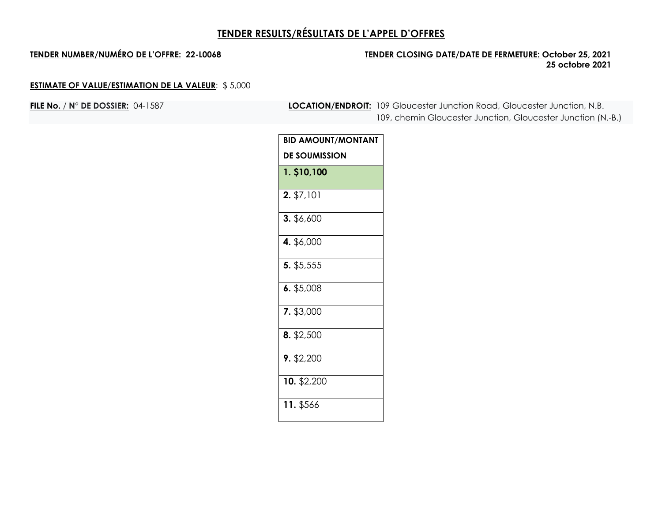## **TENDER NUMBER/NUMÉRO DE L'OFFRE: 22-L0068 TENDER CLOSING DATE/DATE DE FERMETURE: October 25, 2021 25 octobre 2021**

## **ESTIMATE OF VALUE/ESTIMATION DE LA VALEUR**: \$ 5,000

**FILE No.** / **N° DE DOSSIER:** 04-1587 **LOCATION/ENDROIT:** 109 Gloucester Junction Road, Gloucester Junction, N.B. 109, chemin Gloucester Junction, Gloucester Junction (N.-B.)

| <b>BID AMOUNT/MONTANT</b> |
|---------------------------|
| <b>DE SOUMISSION</b>      |
| 1. \$10,100               |
| 2. \$7,101                |
| 3. \$6,600                |
| 4. \$6,000                |
| 5. \$5,555                |
| 6. \$5,008                |
| 7. \$3,000                |
| 8. \$2,500                |
| 9. \$2,200                |
| 10. \$2,200               |
| 11. \$566                 |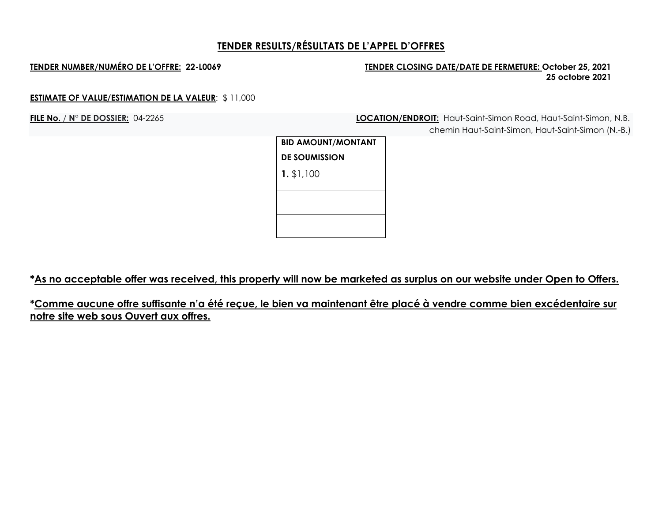## **TENDER NUMBER/NUMÉRO DE L'OFFRE: 22-L0069 TENDER CLOSING DATE/DATE DE FERMETURE: October 25, 2021 25 octobre 2021**

### **ESTIMATE OF VALUE/ESTIMATION DE LA VALEUR**: \$ 11,000

**FILE No.** / **N° DE DOSSIER:** 04-2265 **LOCATION/ENDROIT:** Haut-Saint-Simon Road, Haut-Saint-Simon, N.B. chemin Haut-Saint-Simon, Haut-Saint-Simon (N.-B.)

| <b>BID AMOUNT/MONTANT</b> |  |
|---------------------------|--|
| <b>DE SOUMISSION</b>      |  |
| $1.$ \$1,100              |  |
|                           |  |
|                           |  |

**\*As no acceptable offer was received, this property will now be marketed as surplus on our website under Open to Offers.**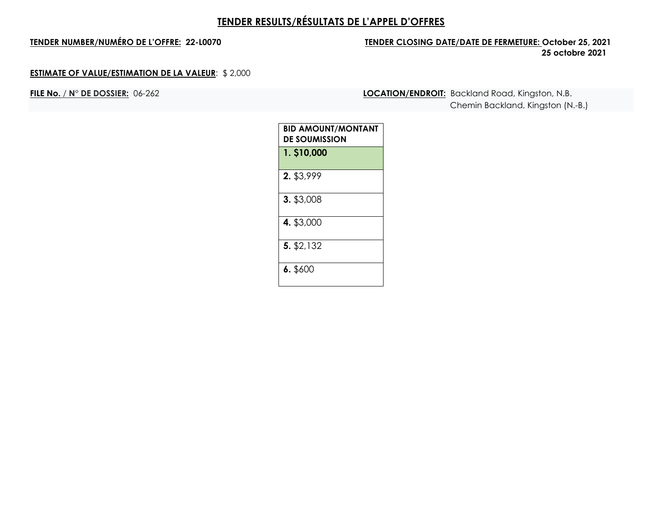## **TENDER NUMBER/NUMÉRO DE L'OFFRE: 22-L0070 TENDER CLOSING DATE/DATE DE FERMETURE: October 25, 2021 25 octobre 2021**

### **ESTIMATE OF VALUE/ESTIMATION DE LA VALEUR**: \$ 2,000

**FILE No.** / **N° DE DOSSIER:** 06-262 **LOCATION/ENDROIT:** Backland Road, Kingston, N.B. Chemin Backland, Kingston (N.-B.)

| <b>BID AMOUNT/MONTANT</b><br><b>DE SOUMISSION</b> |
|---------------------------------------------------|
| 1. \$10,000                                       |
| 2. \$3,999                                        |
| 3. \$3,008                                        |
| 4. \$3,000                                        |
| 5. \$2,132                                        |
| 6.5600                                            |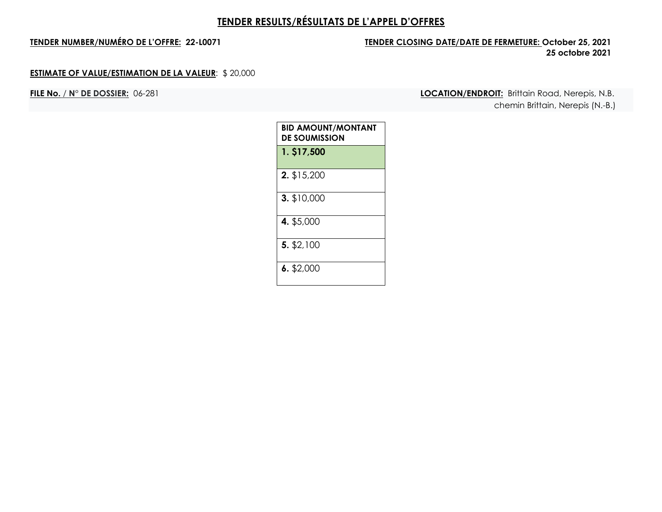## **TENDER NUMBER/NUMÉRO DE L'OFFRE: 22-L0071 TENDER CLOSING DATE/DATE DE FERMETURE: October 25, 2021 25 octobre 2021**

### **ESTIMATE OF VALUE/ESTIMATION DE LA VALEUR**: \$ 20,000

**FILE No.** / **N° DE DOSSIER:** 06-281 **LOCATION/ENDROIT:** Brittain Road, Nerepis, N.B. chemin Brittain, Nerepis (N.-B.)

| BID AMOUNT/MONTANT<br><b>DE SOUMISSION</b> |
|--------------------------------------------|
| 1. \$17,500                                |
| 2. \$15,200                                |
| 3. \$10,000                                |
| 4. \$5,000                                 |
| 5. \$2,100                                 |
| $6.$ \$2,000                               |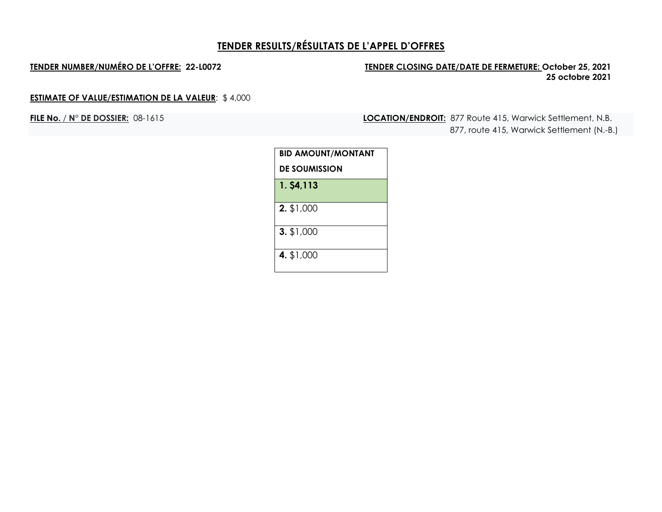## **TENDER NUMBER/NUMÉRO DE L'OFFRE: 22-L0072 TENDER CLOSING DATE/DATE DE FERMETURE: October 25, 2021 25 octobre 2021**

## **ESTIMATE OF VALUE/ESTIMATION DE LA VALEUR**: \$ 4,000

**FILE No.** / **N° DE DOSSIER:** 08-1615 **LOCATION/ENDROIT:** 877 Route 415, Warwick Settlement, N.B. 877, route 415, Warwick Settlement (N.-B.)

| BID AMOUNT/MONTANT   |  |
|----------------------|--|
| <b>DE SOUMISSION</b> |  |
| 1. \$4,113           |  |
| 2. \$1,000           |  |
| 3. \$1,000           |  |
| 4. \$1,000           |  |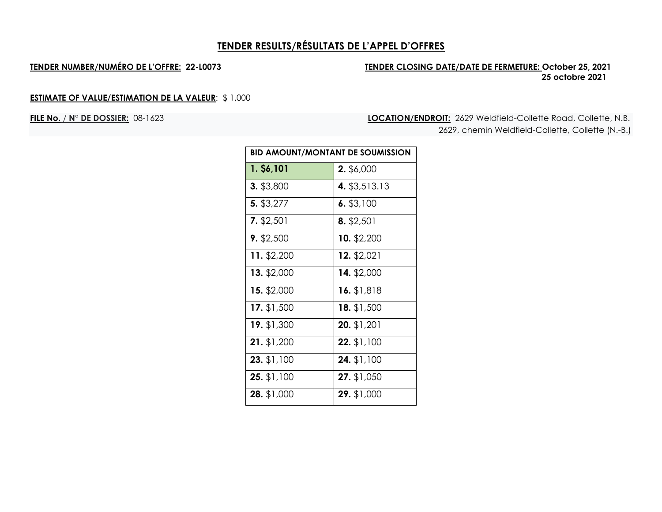## **TENDER NUMBER/NUMÉRO DE L'OFFRE: 22-L0073 TENDER CLOSING DATE/DATE DE FERMETURE: October 25, 2021 25 octobre 2021**

## **ESTIMATE OF VALUE/ESTIMATION DE LA VALEUR**: \$ 1,000

**FILE No.** / **N° DE DOSSIER:** 08-1623 **LOCATION/ENDROIT:** 2629 Weldfield-Collette Road, Collette, N.B. 2629, chemin Weldfield-Collette, Collette (N.-B.)

| <b>BID AMOUNT/MONTANT DE SOUMISSION</b> |                    |
|-----------------------------------------|--------------------|
| 1. \$6,101                              | 2. \$6,000         |
| 3. \$3,800                              | 4. \$3,513.13      |
| 5. \$3,277                              | $6.$ \$3,100       |
| $7.$ \$2,501                            | $8.$ \$2,501       |
| $9.$ \$2,500                            | 10. \$2,200        |
| 11. \$2,200                             | 12. \$2,021        |
| 13. \$2,000                             | 14. \$2,000        |
| 15. \$2,000                             | 16. \$1,818        |
| 17. $$1,500$                            | <b>18.</b> \$1,500 |
| 19. \$1,300                             | 20. \$1,201        |
| 21. \$1,200                             | 22. \$1,100        |
| 23. \$1,100                             | 24. \$1,100        |
| 25. \$1,100                             | 27. \$1,050        |
| 28. \$1,000                             | 29. \$1,000        |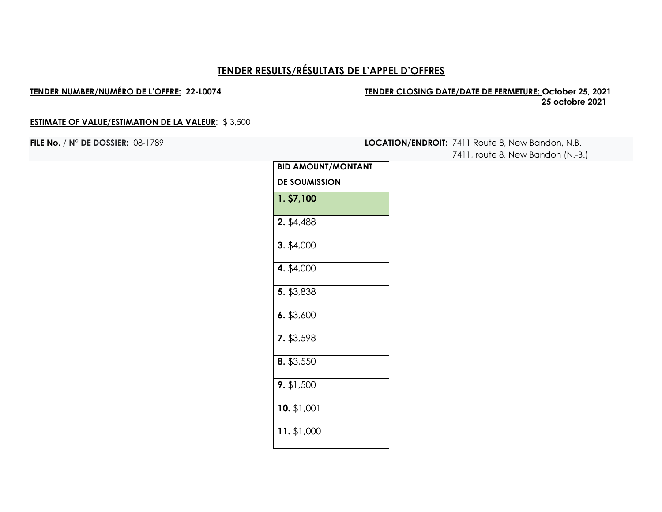### **TENDER NUMBER/NUMÉRO DE L'OFFRE: 22-L0074 TENDER CLOSING DATE/DATE DE FERMETURE: October 25, 2021 25 octobre 2021**

### **ESTIMATE OF VALUE/ESTIMATION DE LA VALEUR**: \$ 3,500

**FILE No.** / **N° DE DOSSIER:** 08-1789 **LOCATION/ENDROIT:** 7411 Route 8, New Bandon, N.B. 7411, route 8, New Bandon (N.-B.)

| <b>BID AMOUNT/MONTANT</b> |
|---------------------------|
| <b>DE SOUMISSION</b>      |
| 1. \$7,100                |
| 2. \$4,488                |
| $3.$ \$4,000              |
| 4. \$4,000                |
| 5. \$3,838                |
| 6. \$3,600                |
| 7. \$3,598                |
| 8. \$3,550                |
| 9. \$1,500                |
| $10.$ \$1,001             |
| 11. \$1,000               |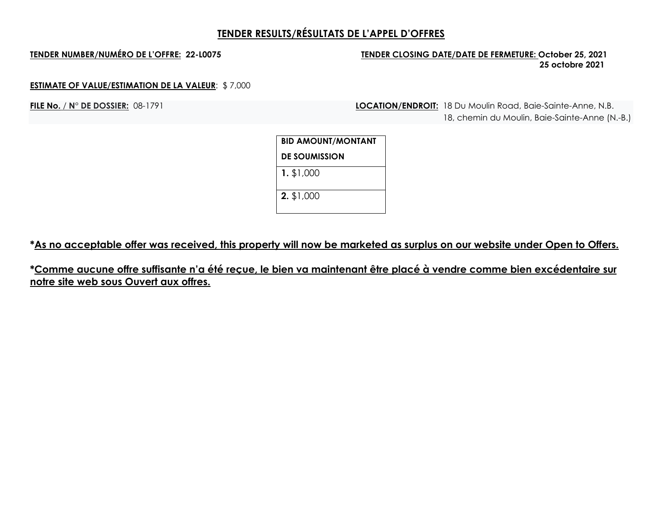## **TENDER NUMBER/NUMÉRO DE L'OFFRE: 22-L0075 TENDER CLOSING DATE/DATE DE FERMETURE: October 25, 2021 25 octobre 2021**

### **ESTIMATE OF VALUE/ESTIMATION DE LA VALEUR**: \$ 7,000

**FILE No. / N° DE DOSSIER:** 08-1791 **LOCATION/ENDROIT:** 18 Du Moulin Road, Baie-Sainte-Anne, N.B. 18, chemin du Moulin, Baie-Sainte-Anne (N.-B.)

| BID AMOUNT/MONTANT   |  |
|----------------------|--|
| <b>DE SOUMISSION</b> |  |
| $1.$ \$1,000         |  |
| 2. \$1,000           |  |

**\*As no acceptable offer was received, this property will now be marketed as surplus on our website under Open to Offers.**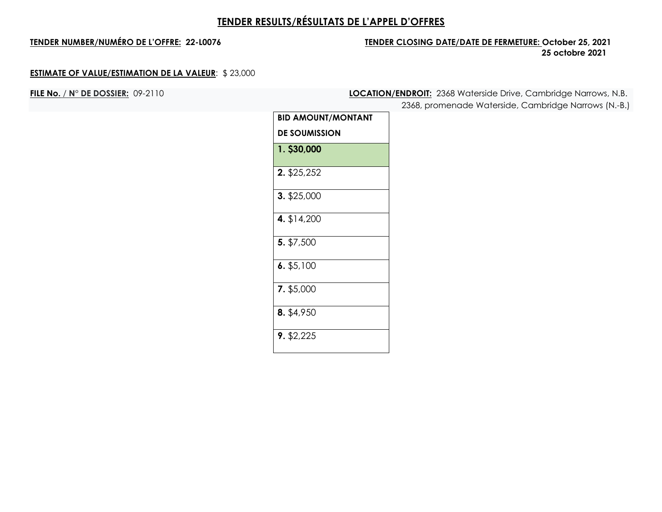## **TENDER NUMBER/NUMÉRO DE L'OFFRE: 22-L0076 TENDER CLOSING DATE/DATE DE FERMETURE: October 25, 2021 25 octobre 2021**

### **ESTIMATE OF VALUE/ESTIMATION DE LA VALEUR**: \$ 23,000

**FILE No.** / **N° DE DOSSIER:** 09-2110 **LOCATION/ENDROIT:** 2368 Waterside Drive, Cambridge Narrows, N.B.

2368, promenade Waterside, Cambridge Narrows (N.-B.)

| <b>BID AMOUNT/MONTANT</b> |
|---------------------------|
| <b>DE SOUMISSION</b>      |
| 1. \$30,000               |
| 2. \$25,252               |
| 3. \$25,000               |
| 4. \$14,200               |
| 5. \$7,500                |
| $6.$ \$5,100              |
| 7. \$5,000                |
| 8. \$4,950                |
| $9.$ \$2,225              |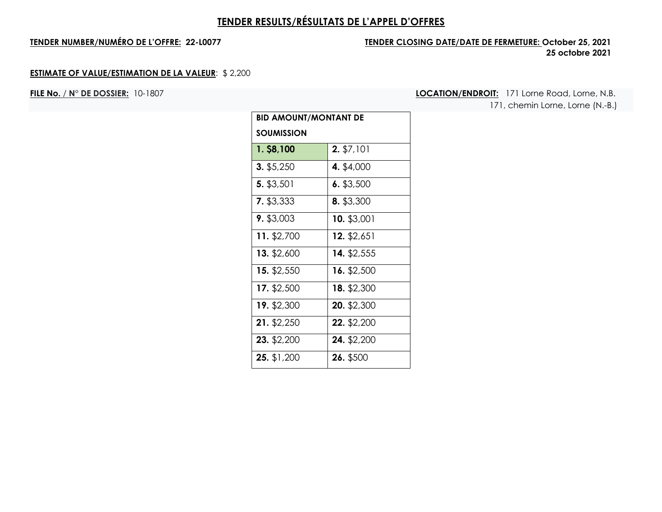## **TENDER NUMBER/NUMÉRO DE L'OFFRE: 22-L0077 TENDER CLOSING DATE/DATE DE FERMETURE: October 25, 2021 25 octobre 2021**

### **ESTIMATE OF VALUE/ESTIMATION DE LA VALEUR**: \$ 2,200

**FILE No.** / **N° DE DOSSIER:** 10-1807 **LOCATION/ENDROIT:** 171 Lorne Road, Lorne, N.B.

171, chemin Lorne, Lorne (N.-B.)

| BID AMOUNT/MONTANT DE |              |
|-----------------------|--------------|
| <b>SOUMISSION</b>     |              |
| 1. \$8,100            | $2.$ \$7,101 |
| $3.$ \$5,250          | 4. \$4,000   |
| 5. \$3,501            | $6.$ \$3,500 |
| 7. \$3,333            | 8. \$3,300   |
| 9. \$3,003            | 10. \$3,001  |
| 11. \$2,700           | 12. \$2,651  |
| 13. \$2,600           | 14. \$2,555  |
| 15. \$2,550           | 16. \$2,500  |
| 17. \$2,500           | 18. \$2,300  |
| 19. \$2,300           | 20. \$2,300  |
| 21. \$2,250           | 22. \$2,200  |
| 23. \$2,200           | 24. \$2,200  |
| 25. \$1,200           | 26. \$500    |
|                       |              |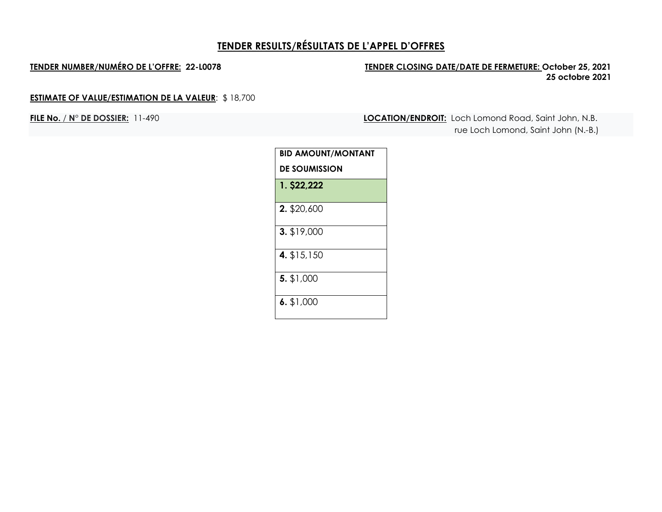## **TENDER NUMBER/NUMÉRO DE L'OFFRE: 22-L0078 TENDER CLOSING DATE/DATE DE FERMETURE: October 25, 2021 25 octobre 2021**

## **ESTIMATE OF VALUE/ESTIMATION DE LA VALEUR**: \$ 18,700

**FILE No.** / **N° DE DOSSIER:** 11-490 **LOCATION/ENDROIT:** Loch Lomond Road, Saint John, N.B. rue Loch Lomond, Saint John (N.-B.)

| <b>BID AMOUNT/MONTANT</b> |
|---------------------------|
| DE SOUMISSION             |
| 1. \$22,222               |
| 2. \$20,600               |
| 3. \$19,000               |
| 4. \$15,150               |
| 5. \$1,000                |
| $6.$ \$1,000              |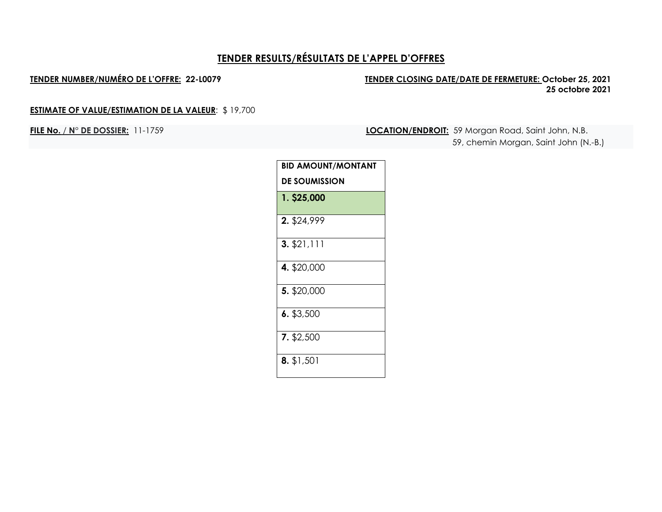### **TENDER NUMBER/NUMÉRO DE L'OFFRE: 22-L0079 TENDER CLOSING DATE/DATE DE FERMETURE: October 25, 2021 25 octobre 2021**

## **ESTIMATE OF VALUE/ESTIMATION DE LA VALEUR**: \$ 19,700

**FILE No.** / **N° DE DOSSIER:** 11-1759 **LOCATION/ENDROIT:** 59 Morgan Road, Saint John, N.B.

59, chemin Morgan, Saint John (N.-B.)

| <b>BID AMOUNT/MONTANT</b> |  |  |
|---------------------------|--|--|
| <b>DE SOUMISSION</b>      |  |  |
| 1. \$25,000               |  |  |
| 2. \$24,999               |  |  |
| 3. \$21,111               |  |  |
| 4. \$20,000               |  |  |
| 5. \$20,000               |  |  |
| 6. \$3,500                |  |  |
| 7. \$2,500                |  |  |
| 8. \$1,501                |  |  |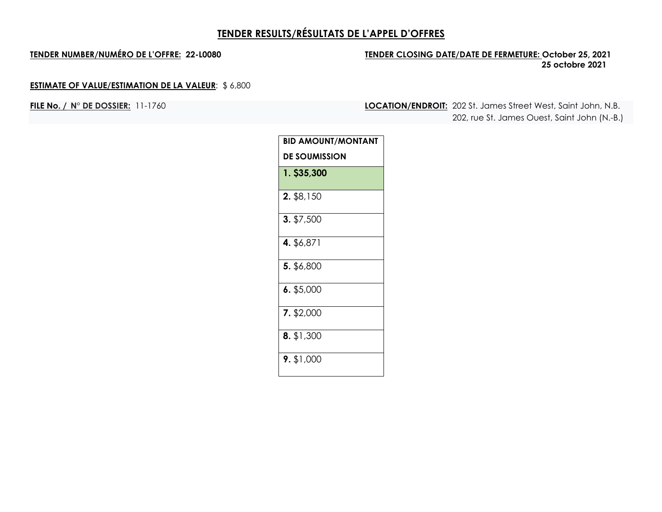## **TENDER NUMBER/NUMÉRO DE L'OFFRE: 22-L0080 TENDER CLOSING DATE/DATE DE FERMETURE: October 25, 2021 25 octobre 2021**

## **ESTIMATE OF VALUE/ESTIMATION DE LA VALEUR**: \$ 6,800

**FILE No. / N° DE DOSSIER:** 11-1760 **LOCATION/ENDROIT:** 202 St. James Street West, Saint John, N.B. 202, rue St. James Ouest, Saint John (N.-B.)

| <b>BID AMOUNT/MONTANT</b> |  |
|---------------------------|--|
| <b>DE SOUMISSION</b>      |  |
| 1. \$35,300               |  |
| 2. \$8,150                |  |
| 3. \$7,500                |  |
| 4. \$6,871                |  |
| 5. \$6,800                |  |
| $6.$ \$5,000              |  |
| 7. \$2,000                |  |
| 8. \$1,300                |  |
| $9.$ \$1,000              |  |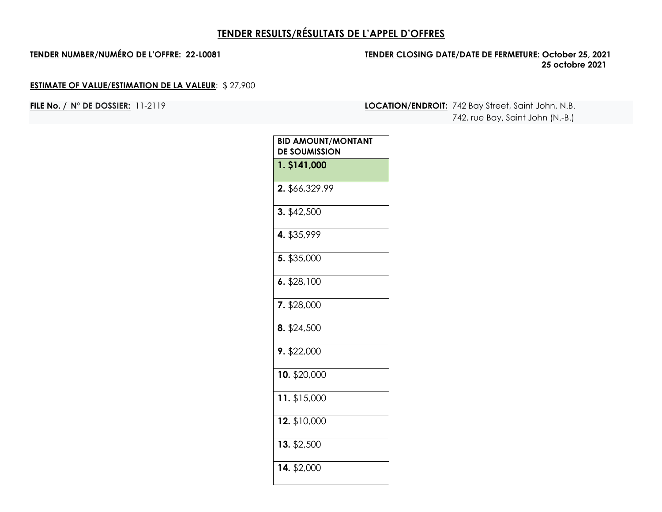## **TENDER NUMBER/NUMÉRO DE L'OFFRE: 22-L0081 TENDER CLOSING DATE/DATE DE FERMETURE: October 25, 2021 25 octobre 2021**

## **ESTIMATE OF VALUE/ESTIMATION DE LA VALEUR**: \$ 27,900

**FILE No. / N° DE DOSSIER:** 11-2119 **LOCATION/ENDROIT:** 742 Bay Street, Saint John, N.B. 742, rue Bay, Saint John (N.-B.)

| <b>BID AMOUNT/MONTANT</b><br><b>DE SOUMISSION</b> |  |
|---------------------------------------------------|--|
| 1. \$141,000                                      |  |
| 2. \$66,329.99                                    |  |
| 3. \$42,500                                       |  |
| 4. \$35,999                                       |  |
| 5. \$35,000                                       |  |
| 6. \$28,100                                       |  |
| 7. \$28,000                                       |  |
| 8. \$24,500                                       |  |
| $9.$ \$22,000                                     |  |
| $10.$ \$20,000                                    |  |
| $11.$ \$15,000                                    |  |
| 12. \$10,000                                      |  |
| 13. \$2,500                                       |  |
| 14. \$2,000                                       |  |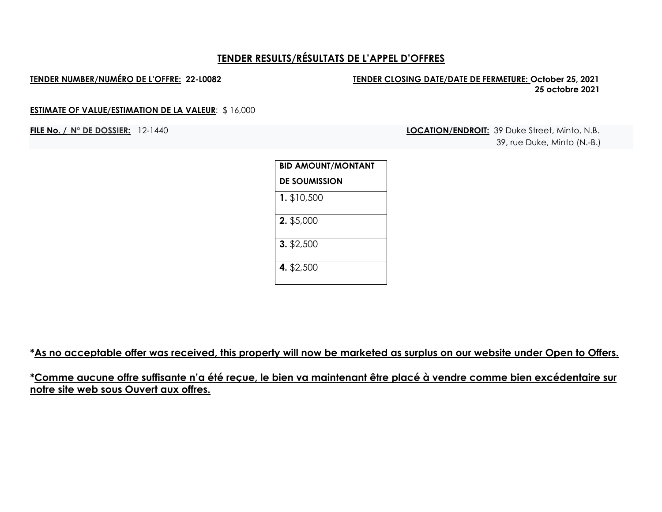### **TENDER NUMBER/NUMÉRO DE L'OFFRE: 22-L0082 TENDER CLOSING DATE/DATE DE FERMETURE: October 25, 2021 25 octobre 2021**

### **ESTIMATE OF VALUE/ESTIMATION DE LA VALEUR**: \$ 16,000

**FILE No. / N° DE DOSSIER:** 12-1440 **LOCATION/ENDROIT:** 39 Duke Street, Minto, N.B. 39, rue Duke, Minto (N.-B.)

| <b>BID AMOUNT/MONTANT</b> |
|---------------------------|
| <b>DE SOUMISSION</b>      |
| 1. \$10,500               |
| 2. \$5,000                |
| $3.$ \$2,500              |
| 4. \$2,500                |

**\*As no acceptable offer was received, this property will now be marketed as surplus on our website under Open to Offers.**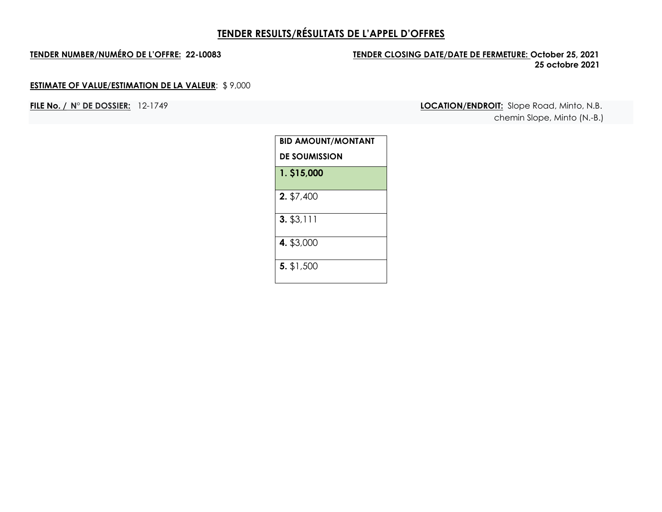## **TENDER NUMBER/NUMÉRO DE L'OFFRE: 22-L0083 TENDER CLOSING DATE/DATE DE FERMETURE: October 25, 2021 25 octobre 2021**

## **ESTIMATE OF VALUE/ESTIMATION DE LA VALEUR**: \$ 9,000

**FILE No. / N° DE DOSSIER:** 12-1749 **LOCATION/ENDROIT:** Slope Road, Minto, N.B. chemin Slope, Minto (N.-B.)

| <b>BID AMOUNT/MONTANT</b> |
|---------------------------|
| <b>DE SOUMISSION</b>      |
| 1. \$15,000               |
| 2. \$7,400                |
| $3.$ \$3,111              |
| 4. \$3,000                |
| 5. \$1,500                |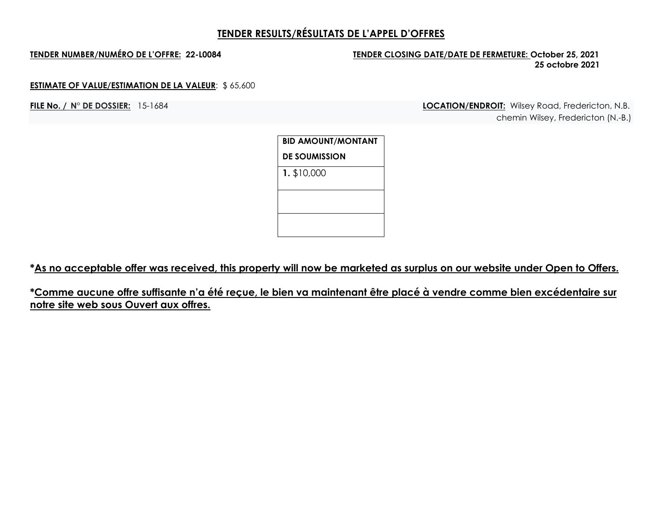## **TENDER NUMBER/NUMÉRO DE L'OFFRE: 22-L0084 TENDER CLOSING DATE/DATE DE FERMETURE: October 25, 2021 25 octobre 2021**

### **ESTIMATE OF VALUE/ESTIMATION DE LA VALEUR**: \$ 65,600

**FILE No. / N° DE DOSSIER:** 15-1684 **LOCATION/ENDROIT:** Wilsey Road, Fredericton, N.B. chemin Wilsey, Fredericton (N.-B.)

> **BID AMOUNT/MONTANT DE SOUMISSION 1.** \$10,000

**\*As no acceptable offer was received, this property will now be marketed as surplus on our website under Open to Offers.**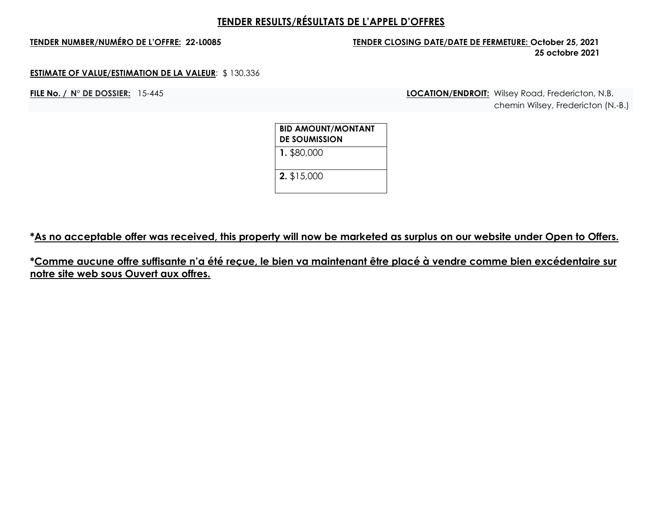## **TENDER NUMBER/NUMÉRO DE L'OFFRE: 22-L0085 TENDER CLOSING DATE/DATE DE FERMETURE: October 25, 2021 25 octobre 2021**

### **ESTIMATE OF VALUE/ESTIMATION DE LA VALEUR**: \$ 130,336

**FILE No. / N° DE DOSSIER:** 15-445 **LOCATION/ENDROIT:** Wilsey Road, Fredericton, N.B. chemin Wilsey, Fredericton (N.-B.)

| <b>BID AMOUNT/MONTANT</b><br><b>DE SOUMISSION</b> |  |
|---------------------------------------------------|--|
| 1. \$80,000                                       |  |
| 2. \$15,000                                       |  |

**\*As no acceptable offer was received, this property will now be marketed as surplus on our website under Open to Offers.**